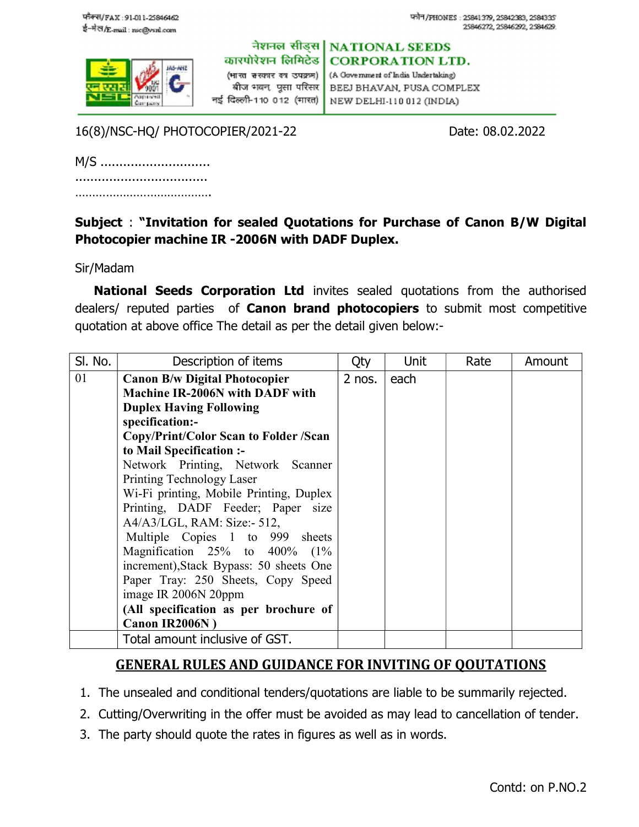

नेशनल सीड्स | NATIONAL SEEDS कारपोरेशन लिमिटेड

(भारत <del>ब</del>रकार का उपक्रम) | नई दिल्ली-110 012 (भारत) |

**CORPORATION LTD.** (A Government of India Undertaking) बीज भवन, पुसा परिसर | BEEJ BHAVAN, PUSA COMPLEX NEW DELHI-110 012 (INDIA)

16(8)/NSC-HQ/ PHOTOCOPIER/2021-22 Date: 08.02.2022

| M/S |  |
|-----|--|
|     |  |
|     |  |

## Subject : "Invitation for sealed Quotations for Purchase of Canon B/W Digital Photocopier machine IR -2006N with DADF Duplex.

## Sir/Madam

National Seeds Corporation Ltd invites sealed quotations from the authorised dealers/ reputed parties of **Canon brand photocopiers** to submit most competitive quotation at above office The detail as per the detail given below:-

| SI. No. | Description of items                    | Qty    | Unit | Rate | Amount |
|---------|-----------------------------------------|--------|------|------|--------|
| 01      | <b>Canon B/w Digital Photocopier</b>    | 2 nos. | each |      |        |
|         | <b>Machine IR-2006N with DADF with</b>  |        |      |      |        |
|         | <b>Duplex Having Following</b>          |        |      |      |        |
|         | specification:-                         |        |      |      |        |
|         | Copy/Print/Color Scan to Folder /Scan   |        |      |      |        |
|         | to Mail Specification :-                |        |      |      |        |
|         | Network Printing, Network Scanner       |        |      |      |        |
|         | Printing Technology Laser               |        |      |      |        |
|         | Wi-Fi printing, Mobile Printing, Duplex |        |      |      |        |
|         | Printing, DADF Feeder; Paper size       |        |      |      |        |
|         | $A4/A3/LGL$ , RAM: Size:- 512,          |        |      |      |        |
|         | Multiple Copies 1 to 999 sheets         |        |      |      |        |
|         | Magnification $25\%$ to $400\%$ (1%)    |        |      |      |        |
|         | increment), Stack Bypass: 50 sheets One |        |      |      |        |
|         | Paper Tray: 250 Sheets, Copy Speed      |        |      |      |        |
|         | image IR 2006N 20ppm                    |        |      |      |        |
|         | (All specification as per brochure of   |        |      |      |        |
|         | Canon IR2006N)                          |        |      |      |        |
|         | Total amount inclusive of GST.          |        |      |      |        |

## GENERAL RULES AND GUIDANCE FOR INVITING OF QOUTATIONS

- 1. The unsealed and conditional tenders/quotations are liable to be summarily rejected.
- 2. Cutting/Overwriting in the offer must be avoided as may lead to cancellation of tender.
- 3. The party should quote the rates in figures as well as in words.